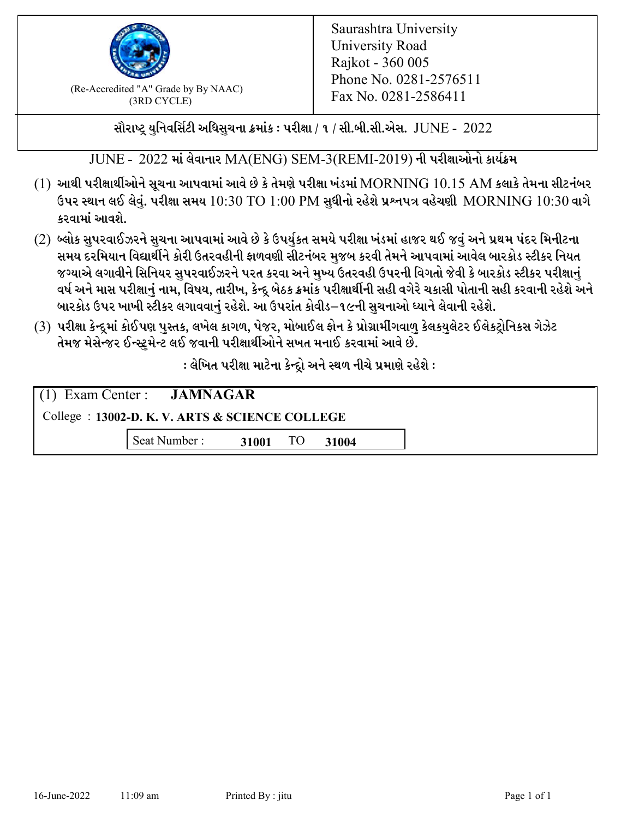

 $F_{\text{R}}$  (Re-Accredited "A" Grade by By NAAC)<br>(3PD CVCLE)<br> $F_{\text{R}}$  No. 0281-2586411 (3RD CYCLE)

સૌરાષ્ટ્ર યુનિવર્સિટી અધિસુચના ક્રમાંક : પરીક્ષા / ૧ / સી.બી.સી.એસ.  $\,$  JUNE -  $\,2022$ 

JUNE - 2022 માં લેવાનાર MA(ENG) SEM-3(REMI-2019) ની પરીક્ષાઓનો કાર્યક્રમ

- $(1)$  આથી પરીક્ષાર્થીઓને સૂચના આપવામાં આવે છે કે તેમણે પરીક્ષા ખંડમાં  $\operatorname{MORNING}$   $10.15$   $\operatorname{AM}$  કલાકે તેમના સીટનંબર ઉપર સ્થાન લઈ લેવું. પરીક્ષા સમય  $10:30 \text{ TO } 1:00 \text{ PM}$  સુધીનો રહેશે પ્રશ્નપત્ર વહેચણી  $\text{MORNING } 10:30$  વાગે કરવામાં આવશે.
- (2) બ્લોક સુપરવાઈઝરને સુચના આપવામાં આવે છે કે ઉપર્યુકત સમયે પરીક્ષા ખંડમાં હાજર થઈ જવું અને પ્રથમ પંદર મિનીટના સમય દરમિયાન વિદ્યાર્થીને કોરી ઉતરવહીની ફાળવણી સીટનંબર મજબ કરવી તેમને આપવામાં આવેલ બારકોડ સ્ટીકર નિયત જગ્યાએ લગાવીને સિનિયર સુપરવાઈઝરને પરત કરવા અને મુખ્ય ઉતરવહી ઉપરની વિગતો જેવી કે બારકોડ સ્ટીકર પરીક્ષ<u>ાન</u>ં વર્ષ અને માસ પરીક્ષાનું નામ, વિષય, તારીખ, કેન્દ્ર બેઠક ક્રમાંક પરીક્ષાર્થીની સહી વગેરે ચકાસી પોતાની સહી કરવાની રહેશે અને બારકોડ ઉપર ખાખી સ્ટીકર લગાવવાનં રહેશે. આ ઉપરાંત કોવીડ–૧૯ની સચનાઓ ધ્યાને લેવાની રહેશે.
- (3) પરીક્ષા કેન્દ્રમાં કોઈપણ પુસ્તક, લખેલ કાગળ, પેજર, મોબાઈલ ફોન કે પ્રોગ્રામીંગવાળુ કેલકયુલેટર ઈલેકટ્રોનિકસ ગેઝેટ તેમજ મેસેન્જર ઈન્સ્ટમેન્ટ લઈ જવાની પરીક્ષાર્થીઓને સખત મનાઈ કરવામાં આવે છે.

: લેખિત પરીક્ષા માટેના કેન્દ્દો અને સ્થળ નીચે પ્રમાણે રહેશે :

|                                                 | $(1)$ Exam Center : <b>JAMNAGAR</b> |       |    |       |  |  |
|-------------------------------------------------|-------------------------------------|-------|----|-------|--|--|
| College : 13002-D. K. V. ARTS & SCIENCE COLLEGE |                                     |       |    |       |  |  |
|                                                 | Seat Number:                        | 31001 | TO | 31004 |  |  |